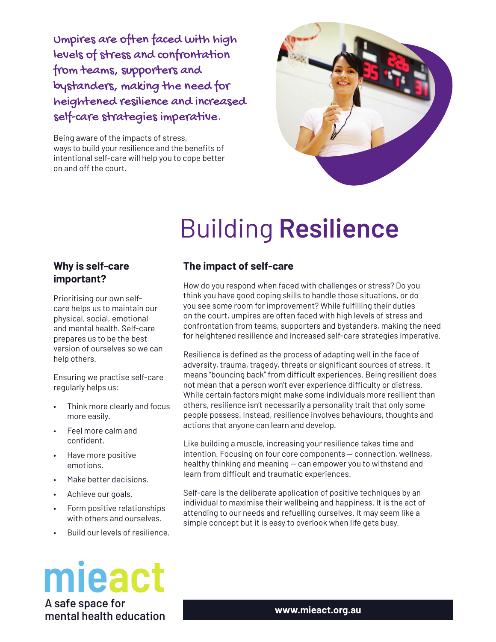Umpires are often faced with high levels of stress and confrontation from teams, supporters and bystanders, making the need for heightened resilience and increased self-care strategies imperative.

Being aware of the impacts of stress, ways to build your resilience and the benefits of intentional self-care will help you to cope better on and off the court.



# **Building Resilience**

#### Why is self-care important?

Prioritising our own selfcare helps us to maintain our physical, social, emotional and mental health. Self-care prepares us to be the best version of ourselves so we can help others.

Ensuring we practise self-care regularly helps us:

- Think more clearly and focus more easily.
- Feel more calm and confident.
- Have more positive emotions.
- Make better decisions.
- Achieve our goals.
- Form positive relationships with others and ourselves.
- Build our levels of resilience.

# mieact A safe space for

mental health education

# The impact of self-care

How do you respond when faced with challenges or stress? Do you think you have good coping skills to handle those situations, or do you see some room for improvement? While fulfilling their duties on the court, umpires are often faced with high levels of stress and confrontation from teams, supporters and bystanders, making the need for heightened resilience and increased self-care strategies imperative.

Resilience is defined as the process of adapting well in the face of adversity, trauma, tragedy, threats or significant sources of stress. It means "bouncing back" from difficult experiences. Being resilient does not mean that a person won't ever experience difficulty or distress. While certain factors might make some individuals more resilient than others, resilience isn't necessarily a personality trait that only some people possess. Instead, resilience involves behaviours, thoughts and actions that anyone can learn and develop.

Like building a muscle, increasing your resilience takes time and intention. Focusing on four core components - connection, wellness, healthy thinking and meaning - can empower you to withstand and learn from difficult and traumatic experiences.

Self-care is the deliberate application of positive techniques by an individual to maximise their wellbeing and happiness. It is the act of attending to our needs and refuelling ourselves. It may seem like a simple concept but it is easy to overlook when life gets busy.